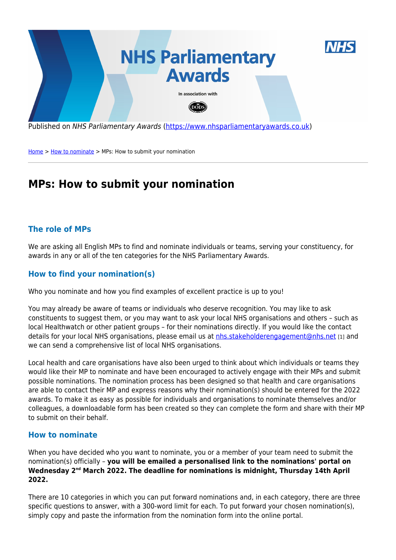

Published on NHS Parliamentary Awards [\(https://www.nhsparliamentaryawards.co.uk](https://www.nhsparliamentaryawards.co.uk))

[Home](https://www.nhsparliamentaryawards.co.uk/) > [How to nominate](https://www.nhsparliamentaryawards.co.uk/) > MPs: How to submit your nomination

# **MPs: How to submit your nomination**

## **The role of MPs**

We are asking all English MPs to find and nominate individuals or teams, serving your constituency, for awards in any or all of the ten categories for the NHS Parliamentary Awards.

## **How to find your nomination(s)**

Who you nominate and how you find examples of excellent practice is up to you!

You may already be aware of teams or individuals who deserve recognition. You may like to ask constituents to suggest them, or you may want to ask your local NHS organisations and others – such as local Healthwatch or other patient groups – for their nominations directly. If you would like the contact details for your local NHS organisations, please email us at [nhs.stakeholderengagement@nhs.net](mailto:nhs.stakeholderengagement@nhs.net?subject=NHS Parliamentary Awards | Contact details for my local NHS organisations) [1] and we can send a comprehensive list of local NHS organisations.

Local health and care organisations have also been urged to think about which individuals or teams they would like their MP to nominate and have been encouraged to actively engage with their MPs and submit possible nominations. The nomination process has been designed so that health and care organisations are able to contact their MP and express reasons why their nomination(s) should be entered for the 2022 awards. To make it as easy as possible for individuals and organisations to nominate themselves and/or colleagues, a downloadable form has been created so they can complete the form and share with their MP to submit on their behalf.

#### **How to nominate**

When you have decided who you want to nominate, you or a member of your team need to submit the nomination(s) officially – **you will be emailed a personalised link to the nominations' portal on Wednesday 2nd March 2022. The deadline for nominations is midnight, Thursday 14th April 2022.**

There are 10 categories in which you can put forward nominations and, in each category, there are three specific questions to answer, with a 300-word limit for each. To put forward your chosen nomination(s), simply copy and paste the information from the nomination form into the online portal.